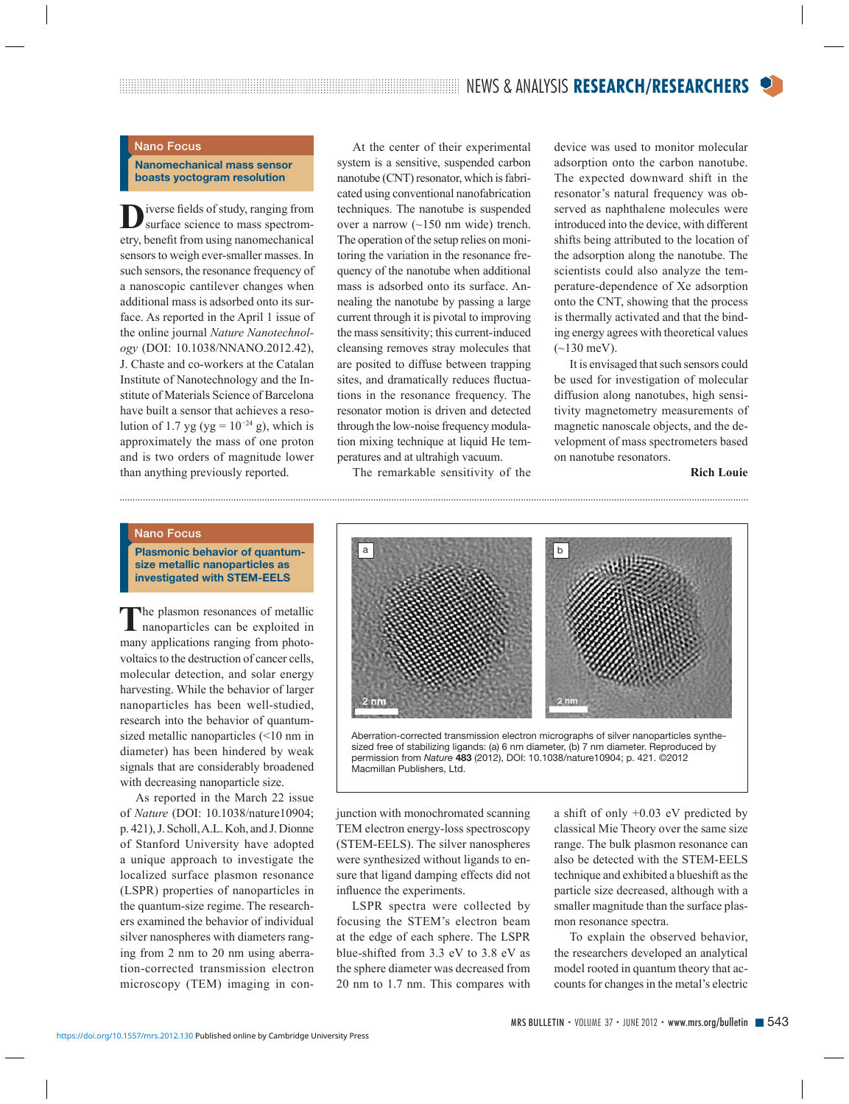### **Nano Focus**

## **Nanomechanical mass sensor boasts yoctogram resolution**

**D**iverse fields of study, ranging from<br>surface science to mass spectrometry, benefit from using nanomechanical sensors to weigh ever-smaller masses. In such sensors, the resonance frequency of a nanoscopic cantilever changes when additional mass is adsorbed onto its surface. As reported in the April 1 issue of the online journal *Nature Nanotechnology* (DOI: 10.1038/NNANO.2012.42), J. Chaste and co-workers at the Catalan Institute of Nanotechnology and the Institute of Materials Science of Barcelona have built a sensor that achieves a resolution of 1.7 yg (yg =  $10^{-24}$  g), which is approximately the mass of one proton and is two orders of magnitude lower than anything previously reported.

 At the center of their experimental system is a sensitive, suspended carbon nanotube (CNT) resonator, which is fabricated using conventional nanofabrication techniques. The nanotube is suspended over a narrow (~150 nm wide) trench. The operation of the setup relies on monitoring the variation in the resonance frequency of the nanotube when additional mass is adsorbed onto its surface. Annealing the nanotube by passing a large current through it is pivotal to improving the mass sensitivity; this current-induced cleansing removes stray molecules that are posited to diffuse between trapping sites, and dramatically reduces fluctuations in the resonance frequency. The resonator motion is driven and detected through the low-noise frequency modulation mixing technique at liquid He temperatures and at ultrahigh vacuum.

The remarkable sensitivity of the

device was used to monitor molecular adsorption onto the carbon nanotube. The expected downward shift in the resonator's natural frequency was observed as naphthalene molecules were introduced into the device, with different shifts being attributed to the location of the adsorption along the nanotube. The scientists could also analyze the temperature-dependence of Xe adsorption onto the CNT, showing that the process is thermally activated and that the binding energy agrees with theoretical values  $(-130 \text{ meV}).$ 

 It is envisaged that such sensors could be used for investigation of molecular diffusion along nanotubes, high sensitivity magnetometry measurements of magnetic nanoscale objects, and the development of mass spectrometers based on nanotube resonators.

**Rich Louie**

### **Nano Focus**

**Plasmonic behavior of quantumsize metallic nanoparticles as investigated with STEM-EELS**

The plasmon resonances of metallic<br>
nanoparticles can be exploited in many applications ranging from photovoltaics to the destruction of cancer cells, molecular detection, and solar energy harvesting. While the behavior of larger nanoparticles has been well-studied, research into the behavior of quantumsized metallic nanoparticles (<10 nm in diameter) has been hindered by weak signals that are considerably broadened with decreasing nanoparticle size.

 As reported in the March 22 issue of *Nature* (DOI: 10.1038/nature10904; p. 421), J. Scholl, A.L. Koh, and J. Dionne of Stanford University have adopted a unique approach to investigate the localized surface plasmon resonance (LSPR) properties of nanoparticles in the quantum-size regime. The researchers examined the behavior of individual silver nanospheres with diameters ranging from 2 nm to 20 nm using aberration-corrected transmission electron microscopy (TEM) imaging in con-



Aberration-corrected transmission electron micrographs of silver nanoparticles synthesized free of stabilizing ligands: (a) 6 nm diameter, (b) 7 nm diameter. Reproduced by permission from Nature **483** (2012), DOI: 10.1038/nature10904; p. 421. ©2012 Macmillan Publishers, Ltd.

junction with monochromated scanning TEM electron energy-loss spectroscopy (STEM-EELS). The silver nanospheres were synthesized without ligands to ensure that ligand damping effects did not influence the experiments.

 LSPR spectra were collected by focusing the STEM's electron beam at the edge of each sphere. The LSPR blue-shifted from 3.3 eV to 3.8 eV as the sphere diameter was decreased from 20 nm to 1.7 nm. This compares with a shift of only +0.03 eV predicted by classical Mie Theory over the same size range. The bulk plasmon resonance can also be detected with the STEM-EELS technique and exhibited a blueshift as the particle size decreased, although with a smaller magnitude than the surface plasmon resonance spectra.

 To explain the observed behavior, the researchers developed an analytical model rooted in quantum theory that accounts for changes in the metal's electric